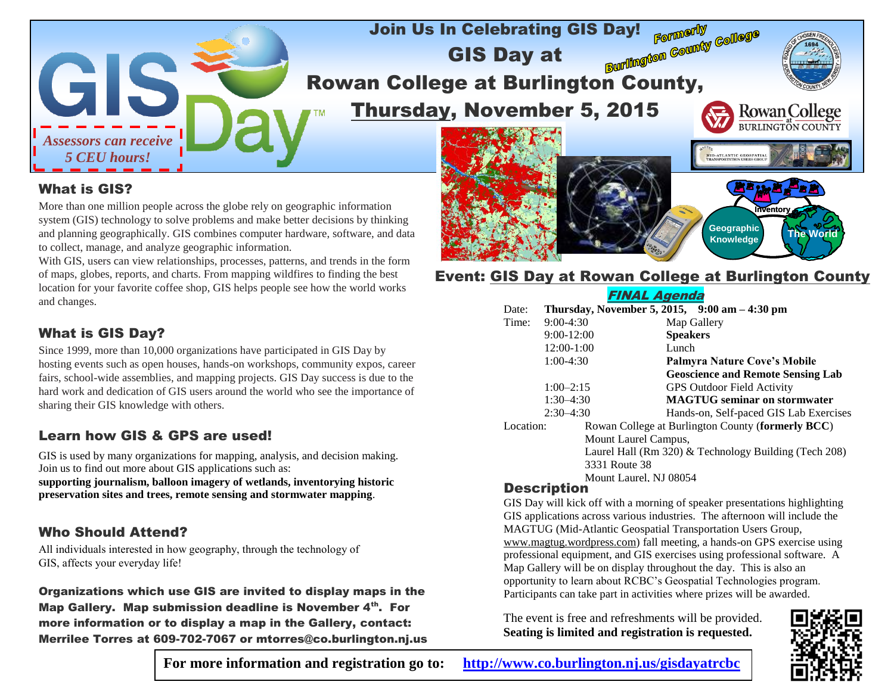

#### What is GIS?

More than one million people across the globe rely on geographic information system (GIS) technology to solve problems and make better decisions by thinking and planning geographically. GIS combines computer hardware, software, and data to collect, manage, and analyze geographic information.

With GIS, users can view relationships, processes, patterns, and trends in the form of maps, globes, reports, and charts. From mapping wildfires to finding the best location for your favorite coffee shop, GIS helps people see how the world works and changes.

## What is GIS Day?

Since 1999, more than 10,000 organizations have participated in GIS Day by hosting events such as open houses, hands-on workshops, community expos, career fairs, school-wide assemblies, and mapping projects. GIS Day success is due to the hard work and dedication of GIS users around the world who see the importance of sharing their GIS knowledge with others.

## Learn how GIS & GPS are used!

GIS is used by many organizations for mapping, analysis, and decision making. Join us to find out more about GIS applications such as:

**supporting journalism, balloon imagery of wetlands, inventorying historic preservation sites and trees, remote sensing and stormwater mapping**.

### Who Should Attend?

All individuals interested in how geography, through the technology of GIS, affects your everyday life!

Organizations which use GIS are invited to display maps in the Map Gallery. Map submission deadline is November 4th. For more information or to display a map in the Gallery, contact: Merrilee Torres at 609-702-7067 or mtorres@co.burlington.nj.us

# **Event: GIS Day at Rowan College at Burlington County**

**Inventory**

**The World Geographic**

**Knowledge**

## FINAL Agenda

| Date:                                                                                            |              | Thursday, November 5, 2015, $9:00 \text{ am} - 4:30 \text{ pm}$ |
|--------------------------------------------------------------------------------------------------|--------------|-----------------------------------------------------------------|
| Time:                                                                                            | $9:00-4:30$  | Map Gallery                                                     |
|                                                                                                  | $9:00-12:00$ | <b>Speakers</b>                                                 |
|                                                                                                  | 12:00-1:00   | Lunch                                                           |
|                                                                                                  | $1:00-4:30$  | Palmyra Nature Cove's Mobile                                    |
|                                                                                                  |              | <b>Geoscience and Remote Sensing Lab</b>                        |
|                                                                                                  | $1:00-2:15$  | <b>GPS Outdoor Field Activity</b>                               |
| $1:30-4:30$                                                                                      |              | <b>MAGTUG</b> seminar on stormwater                             |
| $2:30-4:30$                                                                                      |              | Hands-on, Self-paced GIS Lab Exercises                          |
| Location:                                                                                        |              | Rowan College at Burlington County (formerly BCC)               |
| Mount Laurel Campus,                                                                             |              |                                                                 |
| Laurel Hall (Rm 320) & Technology Building (Tech 208)<br>3331 Route 38<br>Mount Laurel, NJ 08054 |              |                                                                 |
|                                                                                                  |              |                                                                 |

#### Description

GIS Day will kick off with a morning of speaker presentations highlighting GIS applications across various industries. The afternoon will include the MAGTUG (Mid-Atlantic Geospatial Transportation Users Group, www.magtug.wordpress.com) fall meeting, a hands-on GPS exercise using professional equipment, and GIS exercises using professional software. A Map Gallery will be on display throughout the day. This is also an opportunity to learn about RCBC's Geospatial Technologies program. Participants can take part in activities where prizes will be awarded.

The event is free and refreshments will be provided. **Seating is limited and registration is requested.**



**For more information and registration go to: <http://www.co.burlington.nj.us/gisdayatrcbc>**